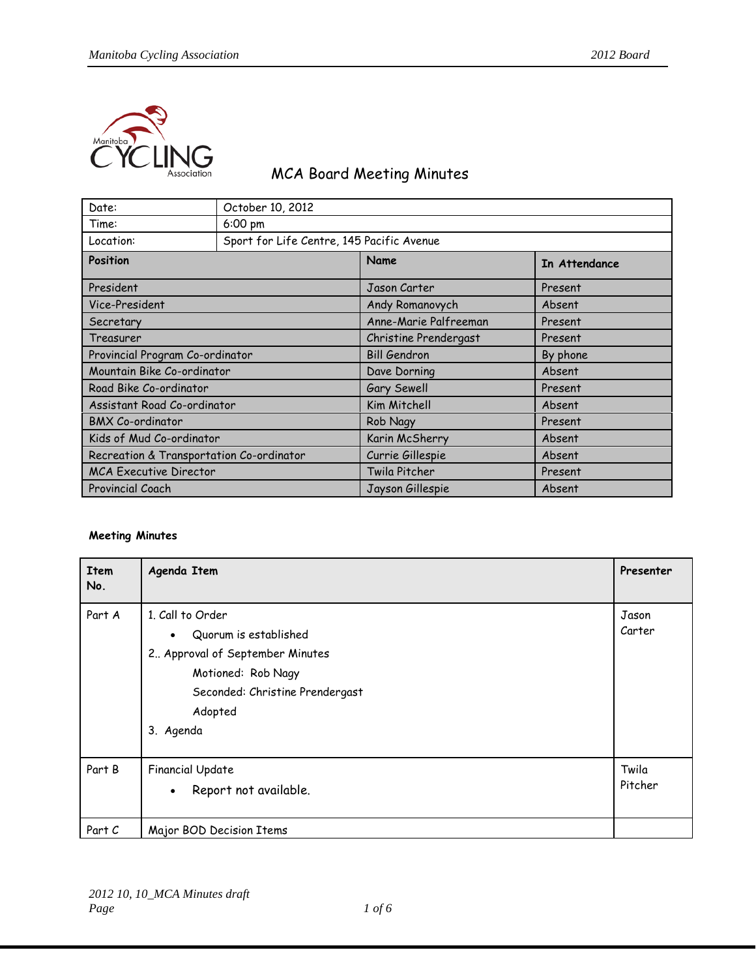

## MCA Board Meeting Minutes

| Date:                                    | October 10, 2012                          |                       |               |  |
|------------------------------------------|-------------------------------------------|-----------------------|---------------|--|
| Time:                                    | $6:00 \text{ pm}$                         |                       |               |  |
| Location:                                | Sport for Life Centre, 145 Pacific Avenue |                       |               |  |
| Position                                 |                                           | Name                  | In Attendance |  |
| President                                |                                           | Jason Carter          | Present       |  |
| Vice-President                           |                                           | Andy Romanovych       | Absent        |  |
| Secretary                                |                                           | Anne-Marie Palfreeman | Present       |  |
| Treasurer                                |                                           | Christine Prendergast | Present       |  |
| Provincial Program Co-ordinator          |                                           | <b>Bill Gendron</b>   | By phone      |  |
| Mountain Bike Co-ordinator               |                                           | Dave Dorning          | Absent        |  |
| Road Bike Co-ordinator                   |                                           | Gary Sewell           | Present       |  |
| Assistant Road Co-ordinator              |                                           | Kim Mitchell          | Absent        |  |
| <b>BMX Co-ordinator</b>                  |                                           | Rob Nagy              | Present       |  |
| Kids of Mud Co-ordinator                 |                                           | Karin McSherry        | Absent        |  |
| Recreation & Transportation Co-ordinator |                                           | Currie Gillespie      | Absent        |  |
| <b>MCA Executive Director</b>            |                                           | Twila Pitcher         | Present       |  |
| Provincial Coach                         |                                           | Jayson Gillespie      | Absent        |  |

## **Meeting Minutes**

| <b>Item</b><br>No. | Agenda Item                                                                                                                                                                | Presenter        |
|--------------------|----------------------------------------------------------------------------------------------------------------------------------------------------------------------------|------------------|
| Part A             | 1. Call to Order<br>Quorum is established<br>$\bullet$<br>2 Approval of September Minutes<br>Motioned: Rob Nagy<br>Seconded: Christine Prendergast<br>Adopted<br>3. Agenda | Jason<br>Carter  |
| Part B             | <b>Financial Update</b><br>Report not available.<br>$\bullet$                                                                                                              | Twila<br>Pitcher |
| Part C             | Major BOD Decision Items                                                                                                                                                   |                  |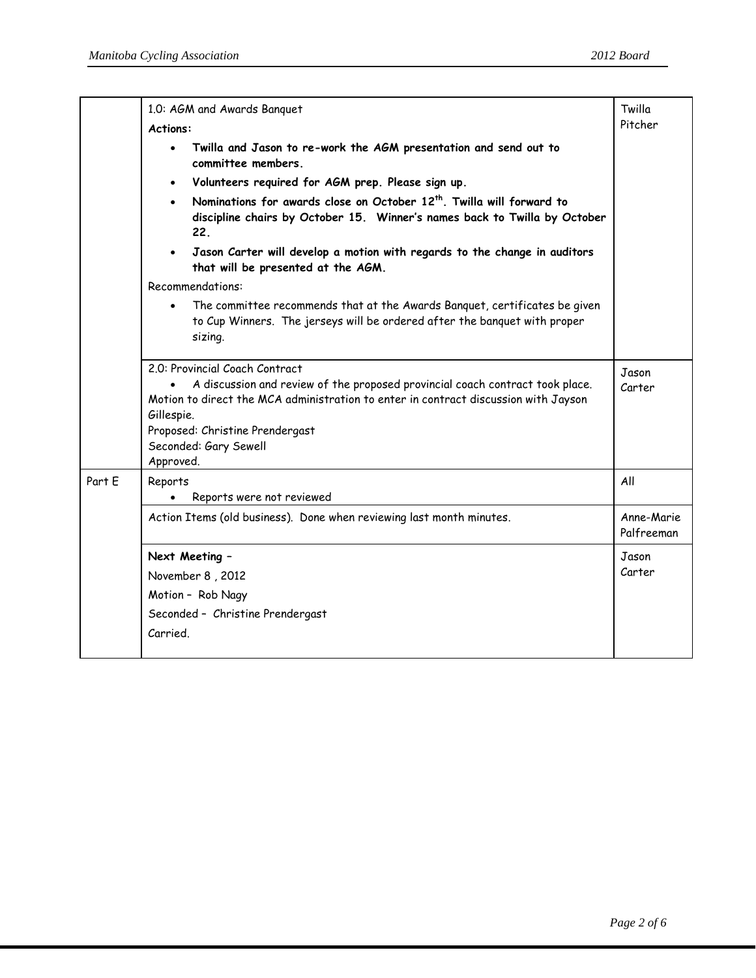|        | 1.0: AGM and Awards Banquet                                                                                                                                                                                                                                                                                               |                          |  |
|--------|---------------------------------------------------------------------------------------------------------------------------------------------------------------------------------------------------------------------------------------------------------------------------------------------------------------------------|--------------------------|--|
|        | <b>Actions:</b>                                                                                                                                                                                                                                                                                                           |                          |  |
|        | Twilla and Jason to re-work the AGM presentation and send out to<br>$\bullet$<br>committee members.                                                                                                                                                                                                                       |                          |  |
|        | Volunteers required for AGM prep. Please sign up.<br>$\bullet$                                                                                                                                                                                                                                                            |                          |  |
|        | Nominations for awards close on October 12 <sup>th</sup> . Twilla will forward to<br>$\bullet$<br>discipline chairs by October 15. Winner's names back to Twilla by October<br>22.<br>Jason Carter will develop a motion with regards to the change in auditors<br>that will be presented at the AGM.<br>Recommendations: |                          |  |
|        |                                                                                                                                                                                                                                                                                                                           |                          |  |
|        |                                                                                                                                                                                                                                                                                                                           |                          |  |
|        | The committee recommends that at the Awards Banquet, certificates be given<br>$\bullet$<br>to Cup Winners. The jerseys will be ordered after the banquet with proper<br>sizing.                                                                                                                                           |                          |  |
|        | 2.0: Provincial Coach Contract                                                                                                                                                                                                                                                                                            |                          |  |
|        | A discussion and review of the proposed provincial coach contract took place.<br>Motion to direct the MCA administration to enter in contract discussion with Jayson<br>Gillespie.<br>Proposed: Christine Prendergast                                                                                                     | Jason<br>Carter          |  |
|        | Seconded: Gary Sewell                                                                                                                                                                                                                                                                                                     |                          |  |
| Part E | Approved.<br>Reports<br>Reports were not reviewed                                                                                                                                                                                                                                                                         | All                      |  |
|        | Action Items (old business). Done when reviewing last month minutes.                                                                                                                                                                                                                                                      | Anne-Marie<br>Palfreeman |  |
|        | Next Meeting -                                                                                                                                                                                                                                                                                                            | Jason                    |  |
|        | November 8, 2012                                                                                                                                                                                                                                                                                                          |                          |  |
|        | Motion - Rob Nagy                                                                                                                                                                                                                                                                                                         |                          |  |
|        | Seconded - Christine Prendergast                                                                                                                                                                                                                                                                                          |                          |  |
|        | Carried.                                                                                                                                                                                                                                                                                                                  |                          |  |
|        |                                                                                                                                                                                                                                                                                                                           |                          |  |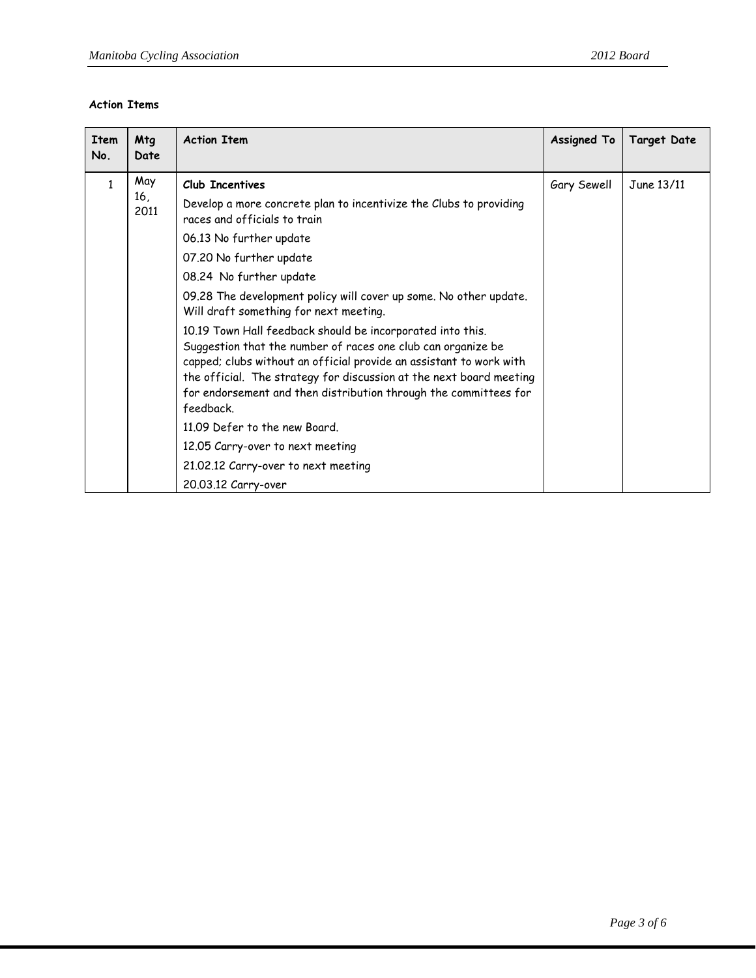## **Action Items**

| <b>Item</b><br>No. | Mtg<br>Date        | <b>Action Item</b>                                                                                                                                                                                                                                                                                                                                                                                                                                                                                                                                                                                                                                                                                                 | <b>Assigned To</b> | <b>Target Date</b> |
|--------------------|--------------------|--------------------------------------------------------------------------------------------------------------------------------------------------------------------------------------------------------------------------------------------------------------------------------------------------------------------------------------------------------------------------------------------------------------------------------------------------------------------------------------------------------------------------------------------------------------------------------------------------------------------------------------------------------------------------------------------------------------------|--------------------|--------------------|
| 1                  | May<br>16,<br>2011 | Club Incentives<br>Develop a more concrete plan to incentivize the Clubs to providing<br>races and officials to train<br>06.13 No further update<br>07.20 No further update<br>08.24 No further update<br>09.28 The development policy will cover up some. No other update.<br>Will draft something for next meeting.<br>10.19 Town Hall feedback should be incorporated into this.<br>Suggestion that the number of races one club can organize be<br>capped; clubs without an official provide an assistant to work with<br>the official. The strategy for discussion at the next board meeting<br>for endorsement and then distribution through the committees for<br>feedback<br>11.09 Defer to the new Board. | Gary Sewell        | June 13/11         |
|                    |                    | 12.05 Carry-over to next meeting<br>21.02.12 Carry-over to next meeting                                                                                                                                                                                                                                                                                                                                                                                                                                                                                                                                                                                                                                            |                    |                    |
|                    |                    | 20.03.12 Carry-over                                                                                                                                                                                                                                                                                                                                                                                                                                                                                                                                                                                                                                                                                                |                    |                    |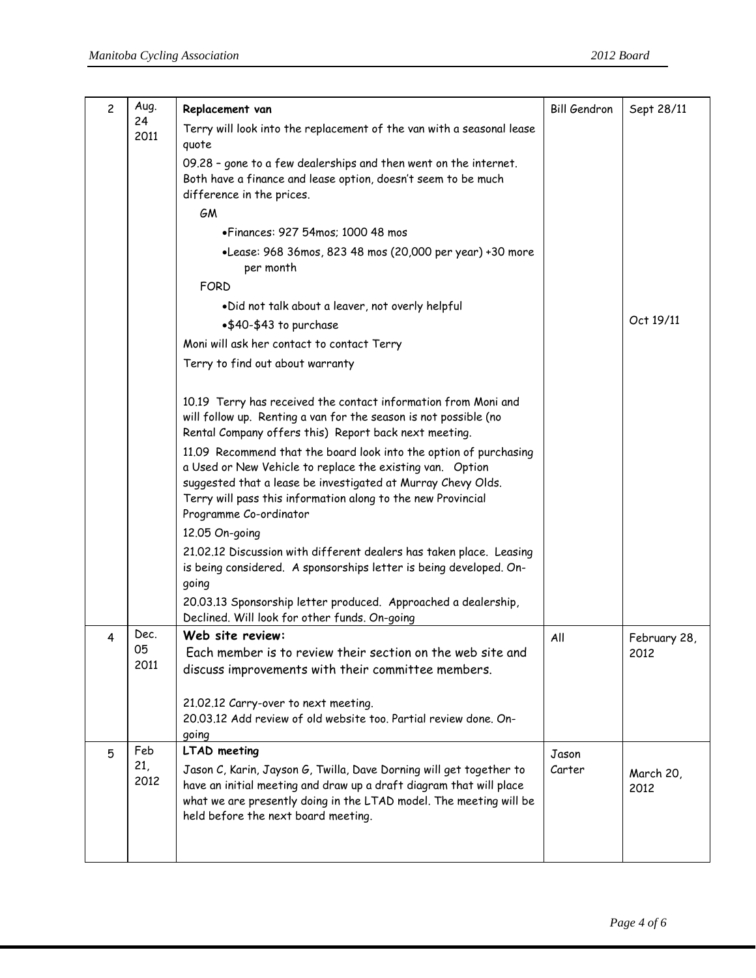| $\overline{c}$ | Aug.        | Replacement van                                                                                                                                                                                                                                                                          | <b>Bill Gendron</b> | Sept 28/11        |
|----------------|-------------|------------------------------------------------------------------------------------------------------------------------------------------------------------------------------------------------------------------------------------------------------------------------------------------|---------------------|-------------------|
|                | 24          | Terry will look into the replacement of the van with a seasonal lease                                                                                                                                                                                                                    |                     |                   |
|                | 2011        | quote                                                                                                                                                                                                                                                                                    |                     |                   |
|                |             | 09.28 - gone to a few dealerships and then went on the internet.                                                                                                                                                                                                                         |                     |                   |
|                |             | Both have a finance and lease option, doesn't seem to be much<br>difference in the prices.                                                                                                                                                                                               |                     |                   |
|                |             | GM                                                                                                                                                                                                                                                                                       |                     |                   |
|                |             | • Finances: 927 54mos; 1000 48 mos                                                                                                                                                                                                                                                       |                     |                   |
|                |             | •Lease: 968 36mos, 823 48 mos (20,000 per year) +30 more<br>per month                                                                                                                                                                                                                    |                     |                   |
|                |             | <b>FORD</b>                                                                                                                                                                                                                                                                              |                     |                   |
|                |             | .Did not talk about a leaver, not overly helpful                                                                                                                                                                                                                                         |                     |                   |
|                |             | •\$40-\$43 to purchase                                                                                                                                                                                                                                                                   |                     | Oct 19/11         |
|                |             | Moni will ask her contact to contact Terry                                                                                                                                                                                                                                               |                     |                   |
|                |             | Terry to find out about warranty                                                                                                                                                                                                                                                         |                     |                   |
|                |             |                                                                                                                                                                                                                                                                                          |                     |                   |
|                |             | 10.19 Terry has received the contact information from Moni and<br>will follow up. Renting a van for the season is not possible (no<br>Rental Company offers this) Report back next meeting.                                                                                              |                     |                   |
|                |             | 11.09 Recommend that the board look into the option of purchasing<br>a Used or New Vehicle to replace the existing van. Option<br>suggested that a lease be investigated at Murray Chevy Olds.<br>Terry will pass this information along to the new Provincial<br>Programme Co-ordinator |                     |                   |
|                |             | 12.05 On-going                                                                                                                                                                                                                                                                           |                     |                   |
|                |             | 21.02.12 Discussion with different dealers has taken place. Leasing                                                                                                                                                                                                                      |                     |                   |
|                |             | is being considered. A sponsorships letter is being developed. On-                                                                                                                                                                                                                       |                     |                   |
|                |             | going                                                                                                                                                                                                                                                                                    |                     |                   |
|                |             | 20.03.13 Sponsorship letter produced. Approached a dealership,<br>Declined. Will look for other funds. On-going                                                                                                                                                                          |                     |                   |
| 4              | Dec.        | Web site review:                                                                                                                                                                                                                                                                         | All                 | February 28,      |
|                | U5.<br>2011 | Each member is to review their section on the web site and                                                                                                                                                                                                                               |                     | 2012              |
|                |             | discuss improvements with their committee members.                                                                                                                                                                                                                                       |                     |                   |
|                |             | 21.02.12 Carry-over to next meeting.<br>20.03.12 Add review of old website too. Partial review done. On-                                                                                                                                                                                 |                     |                   |
|                |             | going                                                                                                                                                                                                                                                                                    |                     |                   |
| 5              | Feb         | <b>LTAD</b> meeting                                                                                                                                                                                                                                                                      | Jason               |                   |
|                | 21,<br>2012 | Jason C, Karin, Jayson G, Twilla, Dave Dorning will get together to<br>have an initial meeting and draw up a draft diagram that will place<br>what we are presently doing in the LTAD model. The meeting will be<br>held before the next board meeting.                                  | Carter              | March 20,<br>2012 |
|                |             |                                                                                                                                                                                                                                                                                          |                     |                   |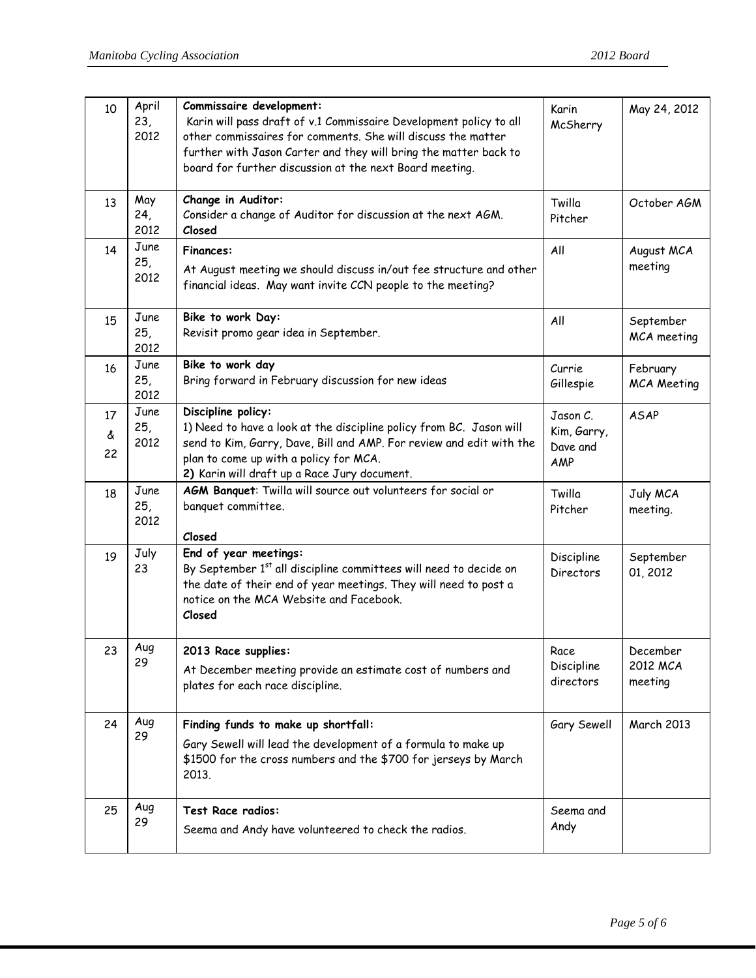| 10            | April<br>23,<br>2012 | Commissaire development:<br>Karin will pass draft of v.1 Commissaire Development policy to all<br>other commissaires for comments. She will discuss the matter<br>further with Jason Carter and they will bring the matter back to<br>board for further discussion at the next Board meeting. | Karin<br>McSherry                          | May 24, 2012                    |
|---------------|----------------------|-----------------------------------------------------------------------------------------------------------------------------------------------------------------------------------------------------------------------------------------------------------------------------------------------|--------------------------------------------|---------------------------------|
| 13            | May<br>24,<br>2012   | Change in Auditor:<br>Consider a change of Auditor for discussion at the next AGM.<br>Closed                                                                                                                                                                                                  | Twilla<br>Pitcher                          | October AGM                     |
| 14            | June<br>25,<br>2012  | <b>Finances:</b><br>At August meeting we should discuss in/out fee structure and other<br>financial ideas. May want invite CCN people to the meeting?                                                                                                                                         | All                                        | August MCA<br>meeting           |
| 15            | June<br>25,<br>2012  | Bike to work Day:<br>Revisit promo gear idea in September.                                                                                                                                                                                                                                    | All                                        | September<br>MCA meeting        |
| 16            | June<br>25,<br>2012  | Bike to work day<br>Bring forward in February discussion for new ideas                                                                                                                                                                                                                        | Currie<br>Gillespie                        | February<br><b>MCA Meeting</b>  |
| 17<br>å<br>22 | June<br>25,<br>2012  | Discipline policy:<br>1) Need to have a look at the discipline policy from BC. Jason will<br>send to Kim, Garry, Dave, Bill and AMP. For review and edit with the<br>plan to come up with a policy for MCA.<br>2) Karin will draft up a Race Jury document.                                   | Jason C.<br>Kim, Garry,<br>Dave and<br>AMP | <b>ASAP</b>                     |
| 18            | June<br>25,<br>2012  | AGM Banquet: Twilla will source out volunteers for social or<br>banquet committee.<br>Closed                                                                                                                                                                                                  | Twilla<br>Pitcher                          | July MCA<br>meeting.            |
| 19            | July<br>23           | End of year meetings:<br>By September 1st all discipline committees will need to decide on<br>the date of their end of year meetings. They will need to post a<br>notice on the MCA Website and Facebook.<br>Closed                                                                           | Discipline<br><b>Directors</b>             | September<br>01, 2012           |
| 23            | Aug<br>29            | 2013 Race supplies:<br>At December meeting provide an estimate cost of numbers and<br>plates for each race discipline.                                                                                                                                                                        | Race<br>Discipline<br>directors            | December<br>2012 MCA<br>meeting |
| 24            | Aug<br>29            | Finding funds to make up shortfall:<br>Gary Sewell will lead the development of a formula to make up<br>\$1500 for the cross numbers and the \$700 for jerseys by March<br>2013.                                                                                                              | Gary Sewell                                | <b>March 2013</b>               |
| 25            | Aug<br>29            | Test Race radios:<br>Seema and Andy have volunteered to check the radios.                                                                                                                                                                                                                     | Seema and<br>Andy                          |                                 |